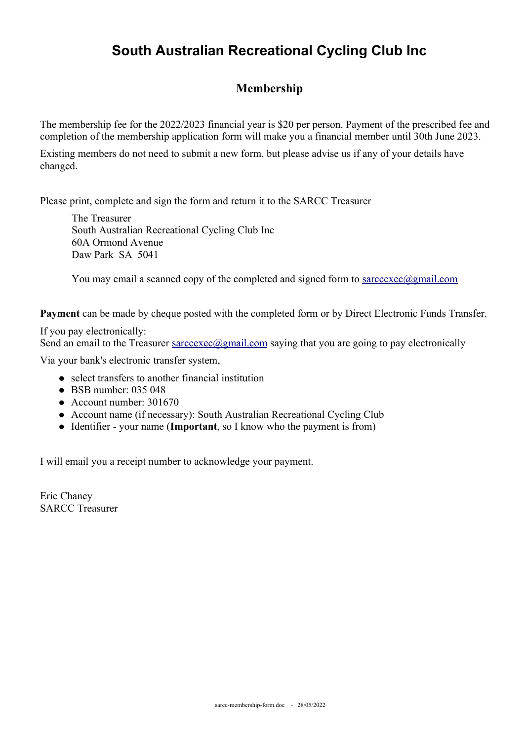## **South Australian Recreational Cycling Club Inc**

## **Membership**

The membership fee for the 2022/2023 financial year is \$20 per person. Payment of the prescribed fee and completion of the membership application form will make you a financial member until 30th June 2023.

Existing members do not need to submit a new form, but please advise us if any of your details have changed.

Please print, complete and sign the form and return it to the SARCC Treasurer

The Treasurer South Australian Recreational Cycling Club Inc 60A Ormond Avenue Daw Park SA 5041

You may email a scanned copy of the completed and signed form to sarccexec  $\omega$  gmail.com

**Payment** can be made by cheque posted with the completed form or by Direct Electronic Funds Transfer.

If you pay electronically: Send an email to the Treasurer  $\frac{\text{successed}}{\text{gamma}}$ .com saying that you are going to pay electronically

Via your bank's electronic transfer system,

- select transfers to another financial institution
- $\bullet$  BSB number: 035 048
- Account number: 301670
- Account name (if necessary): South Australian Recreational Cycling Club
- Identifier your name (**Important**, so I know who the payment is from)

I will email you a receipt number to acknowledge your payment.

Eric Chaney SARCC Treasurer